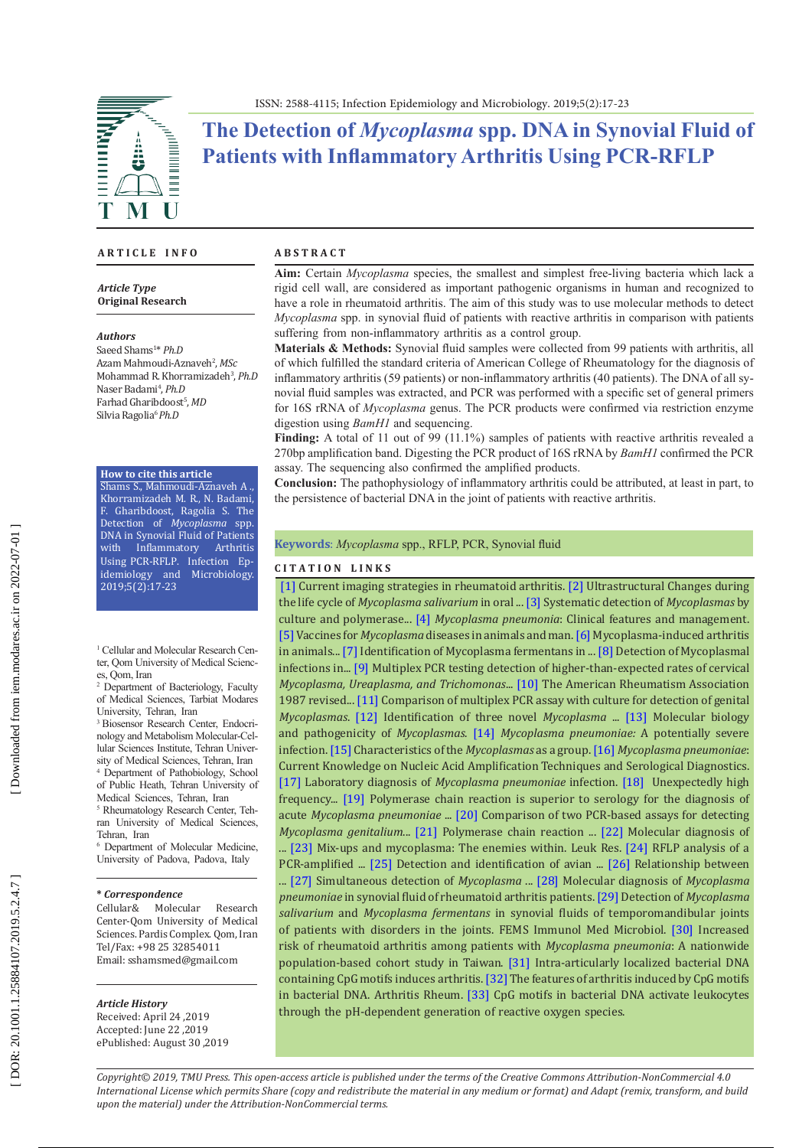

# **The Detection of** *Mycoplasma* **spp. DNA in Synovial Fluid of Patients with Inflammatory Arthritis Using PCR-RFLP**

### **A R T I C L E I N F O**

*Article Type* **Original Research**

#### *Authors*

Saeed Shams 1 \* *Ph.D* Azam Mahmoudi-Aznaveh 2 , *MSc*  Mohammad R. Khorramizadeh 3 , *Ph.D*  Naser Badami 4 , *Ph.D* Farhad Gharibdoost 5 , *MD* Silvia Ragolia<sup>6</sup> Ph.D

### **How to cite this article**

Shams S., Mahmoudi-Aznaveh A ., Khorramizadeh M. R., N. Badami, F. Gharibdoost, Ragolia S. The Detection of *Mycoplasma* spp. DNA in Synovial Fluid of Patients<br>with Inflammatory Arthritis Inflammatory Using PCR-RFLP. Infection Ep idemiology and Microbiology. 2019;5(2):17-23

<sup>1</sup> Cellular and Molecular Research Center, Qom University of Medical Scienc -

es, Qom, Iran<br><sup>2</sup> Department of Bacteriology, Faculty of Medical Sciences, Tarbiat Modares University, Tehran, Iran

3 Biosensor Research Center, Endocri nology and Metabolism Molecular-Cel lular Sciences Institute, Tehran University of Medical Sciences, Tehran, Iran

4 Department of Pathobiology, School of Public Heath, Tehran University of Medical Sciences, Tehran, Iran

<sup>5</sup> Rheumatology Research Center, Tehran University of Medical Sciences, Tehran, Iran

6 Department of Molecular Medicine, University of Padova, Padova, Italy

#### **\*** *Correspondence*

Cellular& Molecular Research Center-Qom University of Medical Sciences. Pardis Complex. Qom, Iran Tel/Fax: +98 25 32854011 Email: [sshamsmed@gmail.com](mailto:sshamsmed@gmail.com)

#### *Article History*

Received: April 24 ,2019 Accepted: June 22 ,2019 ePublished: August 30 ,2019

#### **A B S T R A C T**

**Aim:** Certain *Mycoplasma* species, the smallest and simplest free-living bacteria which lack a rigid cell wall, are considered as important pathogenic organisms in human and recognized to have a role in rheumatoid arthritis. The aim of this study was to use molecular methods to detect *Mycoplasma* spp. in synovial fluid of patients with reactive arthritis in comparison with patients suffering from non-inflammatory arthritis as a control group.

**Materials & Methods:** Synovial fluid samples were collected from 99 patients with arthritis, all of which fulfilled the standard criteria of American College of Rheumatology for the diagnosis of inflammatory arthritis (59 patients) or non-inflammatory arthritis (40 patients). The DNA of all sy novial fluid samples was extracted, and PCR was performed with a specific set of general primers for 16S rRNA of *Mycoplasma* genus. The PCR products were confirmed via restriction enzyme digestion using *BamH1* and sequencing.

**Finding:** A total of 11 out of 99 (11.1%) samples of patients with reactive arthritis revealed a 270bp amplification band. Digesting the PCR product of 16S rRNA by *BamH1* confirmed the PCR assay. The sequencing also confirmed the amplified products.

**Conclusion:** The pathophysiology of inflammatory arthritis could be attributed, at least in part, to the persistence of bacterial DNA in the joint of patients with reactive arthritis.

### **Keywords**: *Mycoplasma* spp., RFLP, PCR, Synovial fluid

### **C I T A T I O N L I N K S**

[\[1\]](https://www.ncbi.nlm.nih.gov/pmc/articles/PMC3477730/) Current imaging strategies in rheumatoid arthritis. [\[2\]](https://www.ncbi.nlm.nih.gov/pubmed/28983467) Ultrastructural Changes during the life cycle of *Mycoplasma salivarium* in oral ... [\[3\]](https://www.ncbi.nlm.nih.gov/pubmed/9133961) Systematic detection of *Mycoplasmas* by culture and polymerase... [\[4\]](http://www.lungindia.com/article.asp?issn=0970-2113;year=2010;volume=27;issue=2;spage=75;epage=85;aulast=Kashyap) *Mycoplasma pneumonia*: Clinical features and management. [\[5\]](https://www.ncbi.nlm.nih.gov/pubmed/19111314) Vaccines for *Mycoplasma* diseases in animals and man. [\[6\]](https://www.ncbi.nlm.nih.gov/pubmed/10063525) Mycoplasma-induced arthritis in animals... [\[7\]](https://www.ncbi.nlm.nih.gov/pmc/articles/PMC86027/) Identification of Mycoplasma fermentans in ... [\[8\]](https://www.ncbi.nlm.nih.gov/pubmed/10402069) Detection of Mycoplasmal infections in... [\[9\]](https://www.ncbi.nlm.nih.gov/pubmed/19261782) Multiplex PCR testing detection of higher-than-expected rates of cervical *Mycoplasma, Ureaplasma, and Trichomonas*... [\[10\]](https://www.ncbi.nlm.nih.gov/pubmed/3358796) The American Rheumatism Association 1987 revised..[. \[11\]](https://www.ncbi.nlm.nih.gov/pmc/articles/PMC387538/) Comparison of multiplex PCR assay with culture for detection of genital *Mycoplasmas*. [\[12\]](https://www.ncbi.nlm.nih.gov/pubmed/16280203) Identification of three novel *Mycoplasma* ... [\[13\]](https://www.ncbi.nlm.nih.gov/pubmed/9841667) Molecular biology and pathogenicity of *Mycoplasmas*. [\[14\]](https://www.ncbi.nlm.nih.gov/pmc/articles/PMC5997415/) *Mycoplasma pneumoniae:* A potentially severe infection. [\[15\]](https://www.elsevier.com/books/methods-in-mycoplasmology-v1/razin/978-0-12-583801-6) Characteristics of the *Mycoplasmas* as a group. [\[16\]](https://www.ncbi.nlm.nih.gov/pmc/articles/PMC4814781/) *Mycoplasma pneumoniae*: Current Knowledge on Nucleic Acid Amplification Techniques and Serological Diagnostics. [\[17\] L](https://www.ncbi.nlm.nih.gov/pubmed/12667235)aboratory diagnosis of *Mycoplasma pneumoniae* infection. [\[18\]](https://www.ncbi.nlm.nih.gov/pubmed/323374) Unexpectedly high frequency... [\[19\]](https://www.ncbi.nlm.nih.gov/pubmed/18547431) Polymerase chain reaction is superior to serology for the diagnosis of acute *Mycoplasma pneumoniae* ... [\[20\]](https://www.ncbi.nlm.nih.gov/pubmed/7588855) Comparison of two PCR-based assays for detecting *Mycoplasma genitalium*..[. \[21\]](https://www.ncbi.nlm.nih.gov/pubmed/8874078) Polymerase chain reaction ... [\[22\]](https://www.ncbi.nlm.nih.gov/pmc/articles/PMC262541/) Molecular diagnosis of ... [\[23\]](https://www.ncbi.nlm.nih.gov/pubmed/11839374) Mix-ups and mycoplasma: The enemies within. Leuk Res. [\[24\]](https://www.ncbi.nlm.nih.gov/pubmed/20027468) RFLP analysis of a PCR-amplified ... [\[25\]](https://www.ncbi.nlm.nih.gov/pubmed/9451458) Detection and identification of avian ... [\[26\]](https://academic.oup.com/rheumatology/article/44/7/912/1788375) Relationship between ..[. \[27\]](https://www.ncbi.nlm.nih.gov/pubmed/26058928) Simultaneous detection of *Mycoplasma* ... [\[28\]](http://ijmm.ir/browse.php?a_id=276&sid=1&slc_lang=en) Molecular diagnosis of *Mycoplasma pneumoniae* in synovial fluid of rheumatoid arthritis patients. [\[29\]](https://www.ncbi.nlm.nih.gov/pubmed/9848685) Detection of *Mycoplasma salivarium* and *Mycoplasma fermentans* in synovial fluids of temporomandibular joints of patients with disorders in the joints. FEMS Immunol Med Microbiol. [\[30\]](https://www.ncbi.nlm.nih.gov/pubmed/30640923) Increased risk of rheumatoid arthritis among patients with *Mycoplasma pneumonia*: A nationwide population-based cohort study in Taiwan. [\[31\]](https://www.ncbi.nlm.nih.gov/pubmed/10371511) Intra-articularly localized bacterial DNA containing CpG motifs induces arthritis. [\[32\]](https://www.ncbi.nlm.nih.gov/pubmed/10693875) The features of arthritis induced by CpG motifs in bacterial DNA. Arthritis Rheum. [\[33\]](https://www.ncbi.nlm.nih.gov/pubmed/9590221) CpG motifs in bacterial DNA activate leukocytes through the pH-dependent generation of reactive oxygen species.

*Copyright© 2019, TMU Press. This open-access article is published under the terms of the Creative Commons Attribution-NonCommercial 4.0 International License which permits Share (copy and redistribute the material in any medium or format) and Adapt (remix, transform, and build upon the material) under the Attribution-NonCommercial terms.*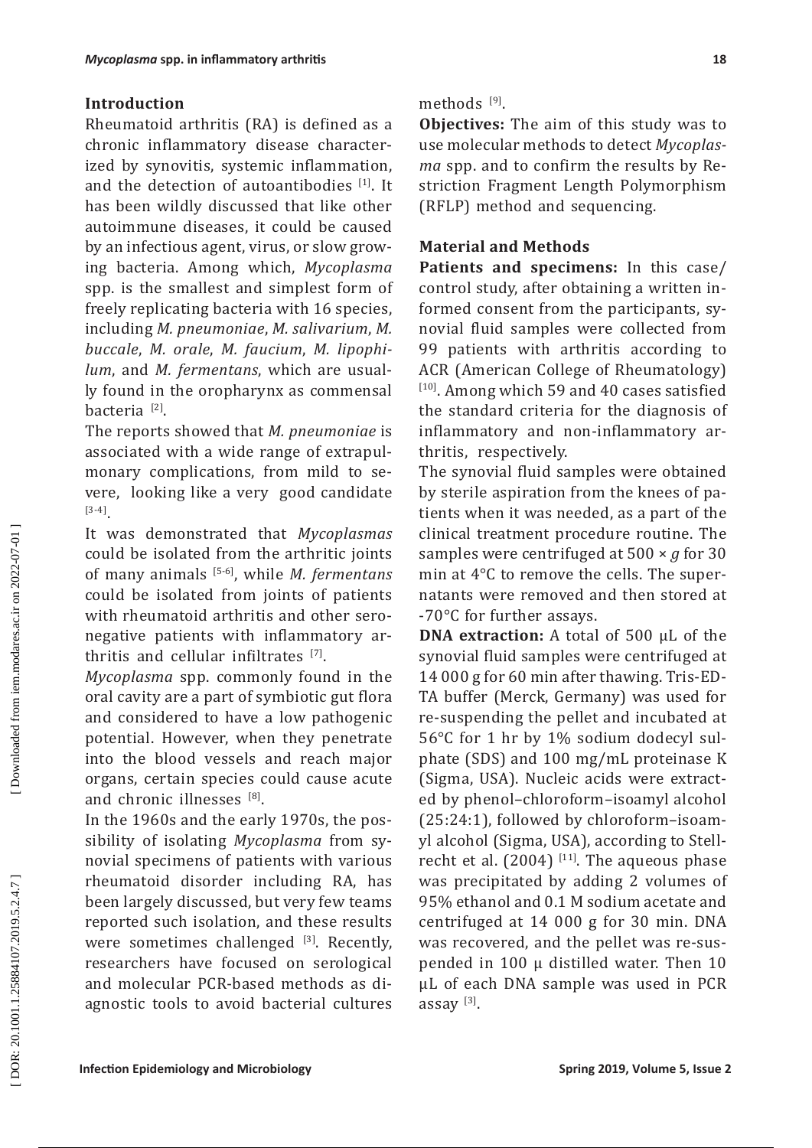# **Introduction**

Rheumatoid arthritis (RA) is defined as a chronic inflammatory disease character ized by synovitis, systemic inflammation, and the detection of autoantibodies [1]. It has been wildly discussed that like other autoimmune diseases, it could be caused by an infectious agent, virus, or slow grow ing bacteria. Among which, *Mycoplasma* spp. is the smallest and simplest form of freely replicating bacteria with 16 species, including *M. pneumoniae*, *M. salivarium*, *M. buccale*, *M. orale*, *M. faucium*, *M. lipophi lum*, and *M. fermentans*, which are usual ly found in the oropharynx as commensal bacteria <sup>[2]</sup>.

The reports showed that *M. pneumoniae* is associated with a wide range of extrapul monary complications, from mild to se vere, looking like a very good candidate [3-4] .

It was demonstrated that *Mycoplasmas*  could be isolated from the arthritic joints of many animals [5-6], while *M. fermentans* could be isolated from joints of patients with rheumatoid arthritis and other sero negative patients with inflammatory ar thritis and cellular infiltrates  $[7]$ .

*Mycoplasma* spp. commonly found in the oral cavity are a part of symbiotic gut flora and considered to have a low pathogenic potential. However, when they penetrate into the blood vessels and reach major organs, certain species could cause acute and chronic illnesses  $^{[8]}$ .

In the 1960s and the early 1970s, the pos sibility of isolating *Mycoplasma* from sy novial specimens of patients with various rheumatoid disorder including RA, has been largely discussed, but very few teams reported such isolation, and these results were sometimes challenged [3]. Recently, researchers have focused on serological and molecular PCR-based methods as di agnostic tools to avoid bacterial cultures methods [9].

**Objectives:** The aim of this study was to use molecular methods to detect *Mycoplas ma* spp. and to confirm the results by Re striction Fragment Length Polymorphism (RFLP) method and sequencing.

# **Material and Methods**

**Patients and specimens:** In this case/ control study, after obtaining a written in formed consent from the participants, sy novial fluid samples were collected from 99 patients with arthritis according to ACR (American College of Rheumatology) [10]. Among which 59 and 40 cases satisfied the standard criteria for the diagnosis of inflammatory and non-inflammatory ar thritis, respectively.

The synovial fluid samples were obtained by sterile aspiration from the knees of pa tients when it was needed, as a part of the clinical treatment procedure routine. The samples were centrifuged at 500 × *g* for 30 min at 4°C to remove the cells. The super natants were removed and then stored at -70°C for further assays.

**DNA extraction:** A total of 500 µL of the synovial fluid samples were centrifuged at 14 000 g for 60 min after thawing. Tris-ED - TA buffer (Merck, Germany) was used for re-suspending the pellet and incubated at 56°C for 1 hr by 1% sodium dodecyl sul phate (SDS) and 100 mg/mL proteinase K (Sigma, USA). Nucleic acids were extract ed by phenol–chloroform–isoamyl alcohol (25:24:1), followed by chloroform–isoam yl alcohol (Sigma, USA), according to Stell recht et al.  $(2004)$  <sup>[11]</sup>. The aqueous phase was precipitated by adding 2 volumes of 95% ethanol and 0.1 M sodium acetate and centrifuged at 14 000 g for 30 min. DNA was recovered, and the pellet was re-sus pended in 100 µ distilled water. Then 10 µL of each DNA sample was used in PCR assay $^{[3]}$ .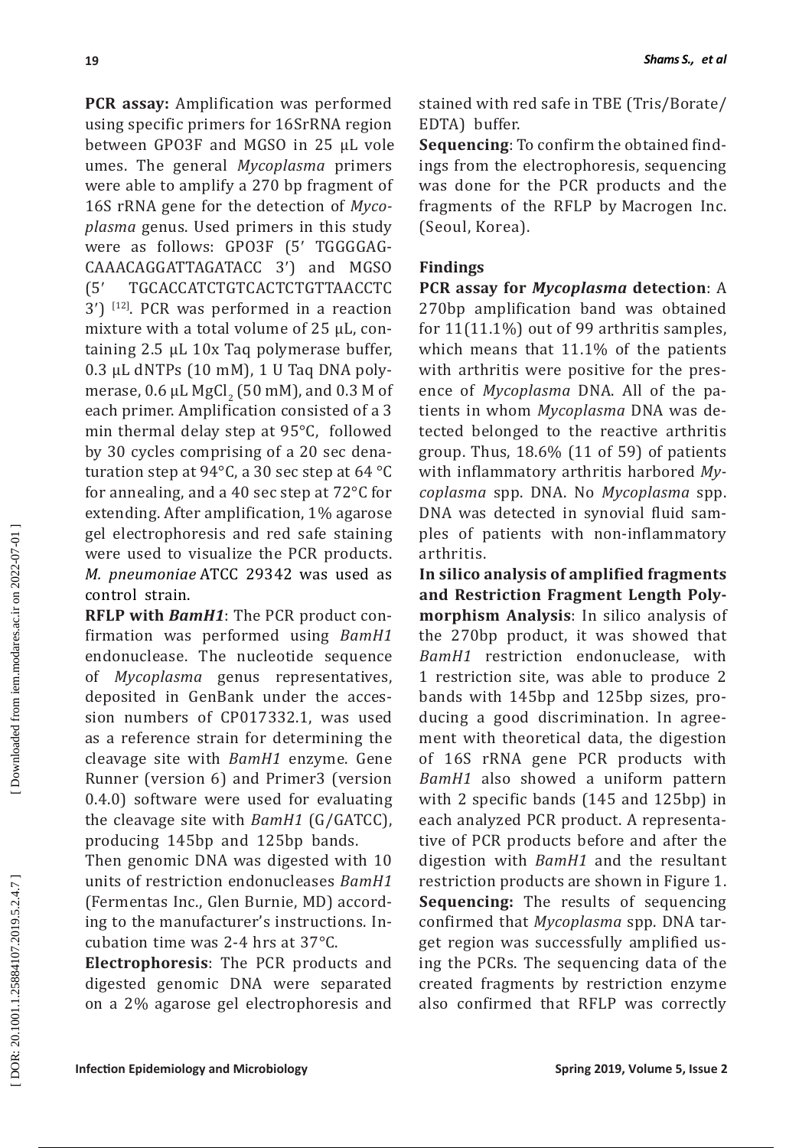**PCR assay:** Amplification was performed using specific primers for 16SrRNA region between GPO3F and MGSO in 25 µL vole umes. The general *Mycoplasma* primers were able to amplify a 270 bp fragment of 16S rRNA gene for the detection of *Myco plasma* genus. Used primers in this study were as follows: GPO3F (5 ′ TGGGGAG - CAAACAGGATTAGATACC 3 ′) and MGSO  $(5^{\prime}%$ ′ TGCACCATCTGTCACTCTGTTAACCTC 3 ′) [12]. PCR was performed in a reaction mixture with a total volume of 25 µL, con taining 2.5 µL 10x Taq polymerase buffer, 0.3 µL dNTPs (10 mM), 1 U Taq DNA poly merase,  $0.6 \mu L$  MgCl<sub>2</sub> (50 mM), and 0.3 M of each primer. Amplification consisted of a 3 min thermal delay step at 95°C, followed by 30 cycles comprising of a 20 sec dena turation step at 94°C, a 30 sec step at 64 °C for annealing, and a 40 sec step at 72°C for extending. After amplification, 1% agarose gel electrophoresis and red safe staining were used to visualize the PCR products. *M. pneumoniae* ATCC 29342 was used as control strain.

**RFLP with** *BamH1*: The PCR product con firmation was performed using *BamH1* endonuclease. The nucleotide sequence of *Mycoplasma* genus representatives, deposited in GenBank under the acces sion numbers of CP017332.1, was used as a reference strain for determining the cleavage site with *BamH1* enzyme. Gene Runner (version 6) and Primer3 (version 0.4.0) software were used for evaluating the cleavage site with *BamH1* (G/GATCC), producing 145bp and 125bp bands.

Then genomic DNA was digested with 10 units of restriction endonucleases *BamH1*  (Fermentas Inc., Glen Burnie, MD) accord ing to the manufacturer's instructions. In cubation time was 2-4 hrs at 37°C.

**Electrophoresis**: The PCR products and digested genomic DNA were separated on a 2% agarose gel electrophoresis and stained with red safe in TBE (Tris/Borate/ EDTA) buffer.

**Sequencing**: To confirm the obtained find ings from the electrophoresis, sequencing was done for the PCR products and the fragments of the RFLP by Macrogen Inc. (Seoul, Korea).

# **Findings**

**PCR assay for** *Mycoplasma* **detection**: A 270bp amplification band was obtained for 11(11.1%) out of 99 arthritis samples, which means that 11.1% of the patients with arthritis were positive for the pres ence of *Mycoplasma* DNA. All of the pa tients in whom *Mycoplasma* DNA was de tected belonged to the reactive arthritis group. Thus, 18.6% (11 of 59) of patients with inflammatory arthritis harbored *My coplasma* spp. DNA. No *Mycoplasma* spp. DNA was detected in synovial fluid sam ples of patients with non-inflammatory arthritis.

**In silico analysis of amplified fragments and Restriction Fragment Length Poly morphism Analysis**: In silico analysis of the 270bp product, it was showed that *BamH1* restriction endonuclease, with 1 restriction site, was able to produce 2 bands with 145bp and 125bp sizes, pro ducing a good discrimination. In agree ment with theoretical data, the digestion of 16S rRNA gene PCR products with *BamH1* also showed a uniform pattern with 2 specific bands (145 and 125bp) in each analyzed PCR product. A representa tive of PCR products before and after the digestion with *BamH1* and the resultant restriction products are shown in Figure 1. **Sequencing:** The results of sequencing confirmed that *Mycoplasma* spp. DNA tar get region was successfully amplified us ing the PCRs. The sequencing data of the created fragments by restriction enzyme also confirmed that RFLP was correctly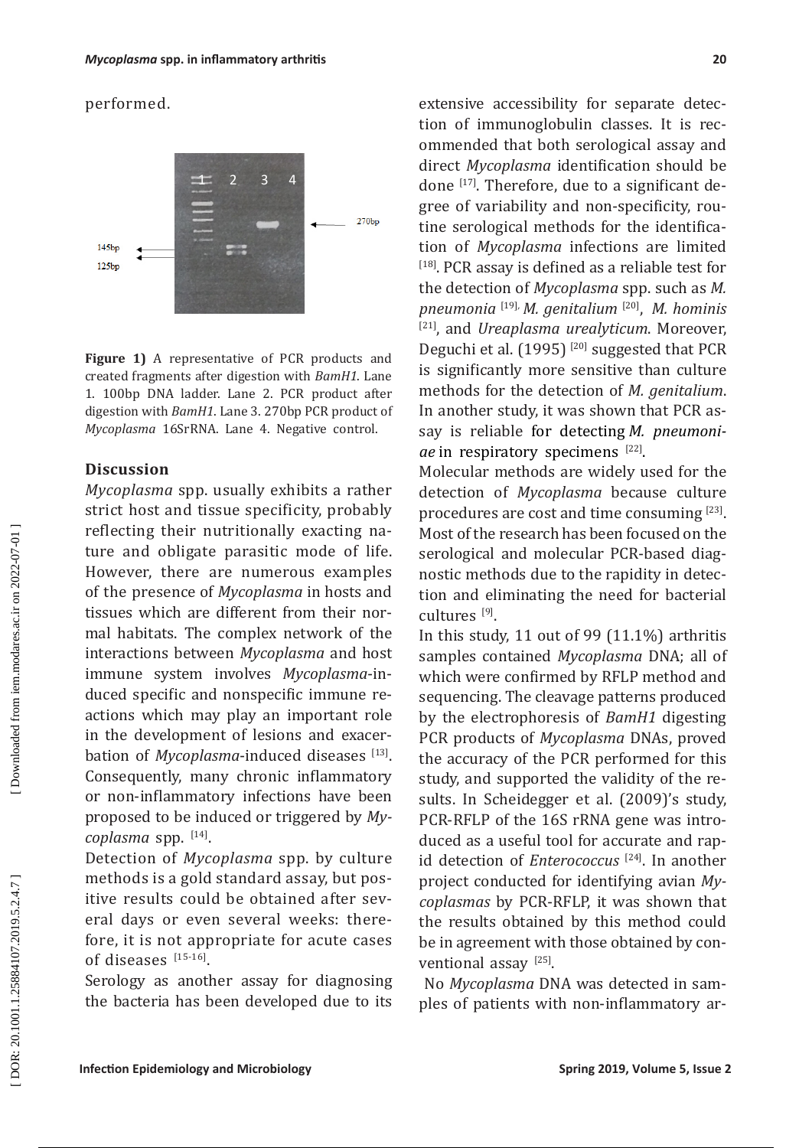performed.



**Figure 1)** A representative of PCR products and created fragments after digestion with *BamH1*. Lane 1. 100bp DNA ladder. Lane 2. PCR product after digestion with *BamH1*. Lane 3. 270bp PCR product of *Mycoplasma* 16SrRNA. Lane 4. Negative control.

## **Discussion**

*Mycoplasma* spp. usually exhibits a rather strict host and tissue specificity, probably reflecting their nutritionally exacting na ture and obligate parasitic mode of life. However, there are numerous examples of the presence of *Mycoplasma* in hosts and tissues which are different from their nor mal habitats. The complex network of the interactions between *Mycoplasma* and host immune system involves *Mycoplasma*-in duced specific and nonspecific immune re actions which may play an important role in the development of lesions and exacer bation of *Mycoplasma*-induced diseases [13]. Consequently, many chronic inflammatory or non-inflammatory infections have been proposed to be induced or triggered by *My coplasma* spp. [14] .

Detection of *Mycoplasma* spp. by culture methods is a gold standard assay, but pos itive results could be obtained after sev eral days or even several weeks: there fore, it is not appropriate for acute cases of diseases [15-16].

Serology as another assay for diagnosing the bacteria has been developed due to its

extensive accessibility for separate detec tion of immunoglobulin classes. It is rec ommended that both serological assay and direct *Mycoplasma* identification should be done  $\left( \frac{1}{7} \right)$ . Therefore, due to a significant degree of variability and non-specificity, rou tine serological methods for the identifica tion of *Mycoplasma* infections are limited [18]. PCR assay is defined as a reliable test for the detection of *Mycoplasma* spp. such as *M. pneumonia* [19] *M. genitalium* [20] , *M. hominis ,* [21], and *Ureaplasma urealyticum*. Moreover, Deguchi et al. (1995)<sup>[20]</sup> suggested that PCR is significantly more sensitive than culture methods for the detection of *M. genitalium*. In another study, it was shown that PCR as say is reliable for detecting *M. pneumoni ae* in respiratory specimens [22].

Molecular methods are widely used for the detection of *Mycoplasma* because culture procedures are cost and time consuming [23]. Most of the research has been focused on the serological and molecular PCR-based diag nostic methods due to the rapidity in detec tion and eliminating the need for bacterial cultures [9] .

In this study, 11 out of 99 (11.1%) arthritis samples contained *Mycoplasma* DNA; all of which were confirmed by RFLP method and sequencing. The cleavage patterns produced by the electrophoresis of *BamH1* digesting PCR products of *Mycoplasma* DNAs, proved the accuracy of the PCR performed for this study, and supported the validity of the re sults. In Scheidegger et al. (2009)'s study, PCR-RFLP of the 16S rRNA gene was intro duced as a useful tool for accurate and rap id detection of *Enterococcus* [24]. In another project conducted for identifying avian *My coplasmas* by PCR-RFLP, it was shown that the results obtained by this method could be in agreement with those obtained by con ventional assay  $^{[25]}$ .

 No *Mycoplasma* DNA was detected in sam ples of patients with non-inflammatory ar -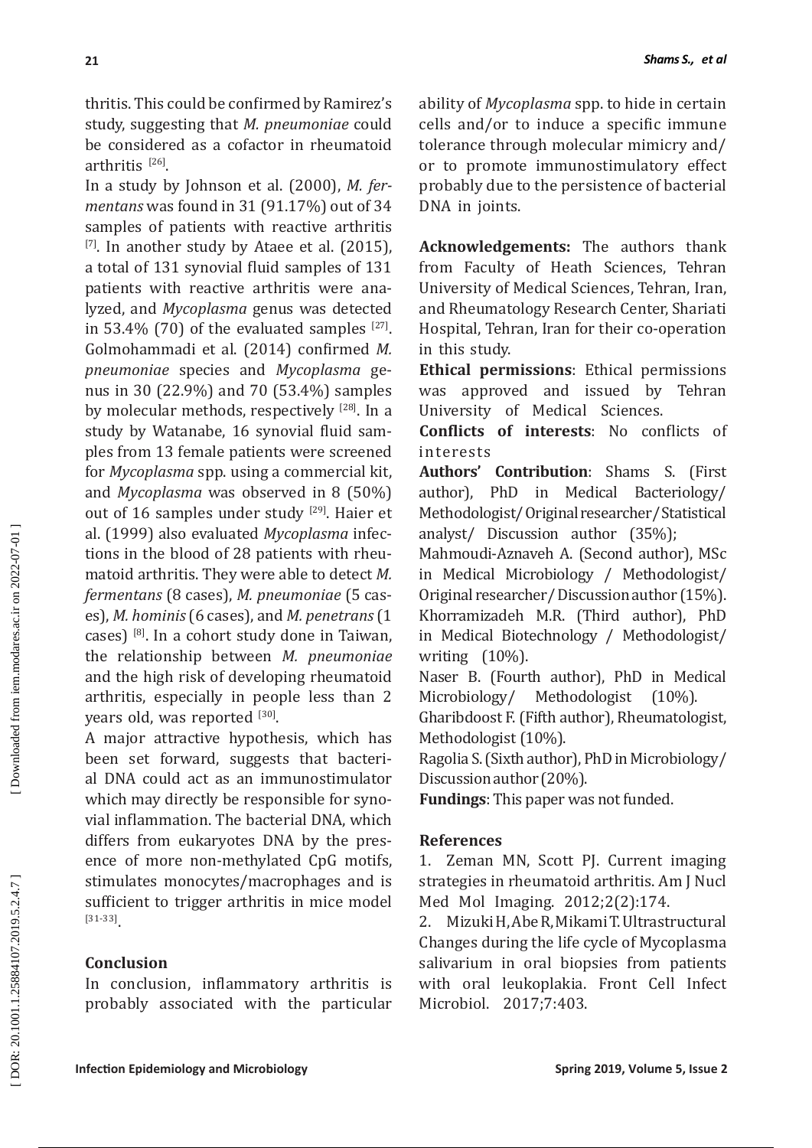thritis. This could be confirmed by Ramirez's study, suggesting that *M. pneumoniae* could be considered as a cofactor in rheumatoid arthritis  $^{[26]}$ .

In a study by Johnson et al. (2000), *M. fer mentans* was found in 31 (91.17%) out of 34 samples of patients with reactive arthritis  $[7]$ . In another study by Ataee et al. (2015), a total of 131 synovial fluid samples of 131 patients with reactive arthritis were ana lyzed, and *Mycoplasma* genus was detected in 53.4% (70) of the evaluated samples  $[27]$ . Golmohammadi et al. (2014) confirmed *M. pneumoniae* species and *Mycoplasma* ge nus in 30 (22.9%) and 70 (53.4%) samples by molecular methods, respectively [28]. In a study by Watanabe, 16 synovial fluid sam ples from 13 female patients were screened for *Mycoplasma* spp. using a commercial kit, and *Mycoplasma* was observed in 8 (50%) out of 16 samples under study [29]. Haier et al. (1999) also evaluated *Mycoplasma* infec tions in the blood of 28 patients with rheu matoid arthritis. They were able to detect *M. fermentans* (8 cases), *M. pneumoniae* (5 cas es), *M. hominis* (6 cases), and *M. penetrans* (1 cases) [8]. In a cohort study done in Taiwan, the relationship between *M. pneumoniae* and the high risk of developing rheumatoid arthritis, especially in people less than 2 years old, was reported [30].

A major attractive hypothesis, which has been set forward, suggests that bacteri al DNA could act as an immunostimulator which may directly be responsible for syno vial inflammation. The bacterial DNA, which differs from eukaryotes DNA by the pres ence of more non-methylated CpG motifs, stimulates monocytes/macrophages and is sufficient to trigger arthritis in mice model [31-33] .

# **Conclusion**

In conclusion, inflammatory arthritis is probably associated with the particular ability of *Mycoplasma* spp. to hide in certain cells and/or to induce a specific immune tolerance through molecular mimicry and/ or to promote immunostimulatory effect probably due to the persistence of bacterial DNA in joints.

**Acknowledgements:** The authors thank from Faculty of Heath Sciences, Tehran University of Medical Sciences, Tehran, Iran, and Rheumatology Research Center, Shariati Hospital, Tehran, Iran for their co-operation in this study.

**Ethical permissions**: Ethical permissions was approved and issued by Tehran University of Medical Sciences.

**Conflicts of interests**: No conflicts of interests

**Authors' Contribution**: Shams S. (First author), PhD in Medical Bacteriology/ Methodologist/ Original researcher/ Statistical analyst/ Discussion author (35%);

Mahmoudi-Aznaveh A. (Second author), MSc in Medical Microbiology / Methodologist/ Original researcher/ Discussion author (15%). Khorramizadeh M.R. (Third author), PhD in Medical Biotechnology / Methodologist/ writing (10%).

Naser B. (Fourth author), PhD in Medical Microbiology/ Methodologist (10%).

Gharibdoost F. (Fifth author), Rheumatologist, Methodologist (10%).

Ragolia S. (Sixth author), PhD in Microbiology/ Discussion author (20%).

**Fundings**: This paper was not funded.

# **References**

1. Zeman MN, Scott PJ. Current imaging strategies in rheumatoid arthritis. Am J Nucl Med Mol Imaging. 2012;2(2):174.

2. Mizuki H, Abe R, Mikami T. Ultrastructural Changes during the life cycle of Mycoplasma salivarium in oral biopsies from patients with oral leukoplakia. Front Cell Infect Microbiol. 2017;7:403.

**21**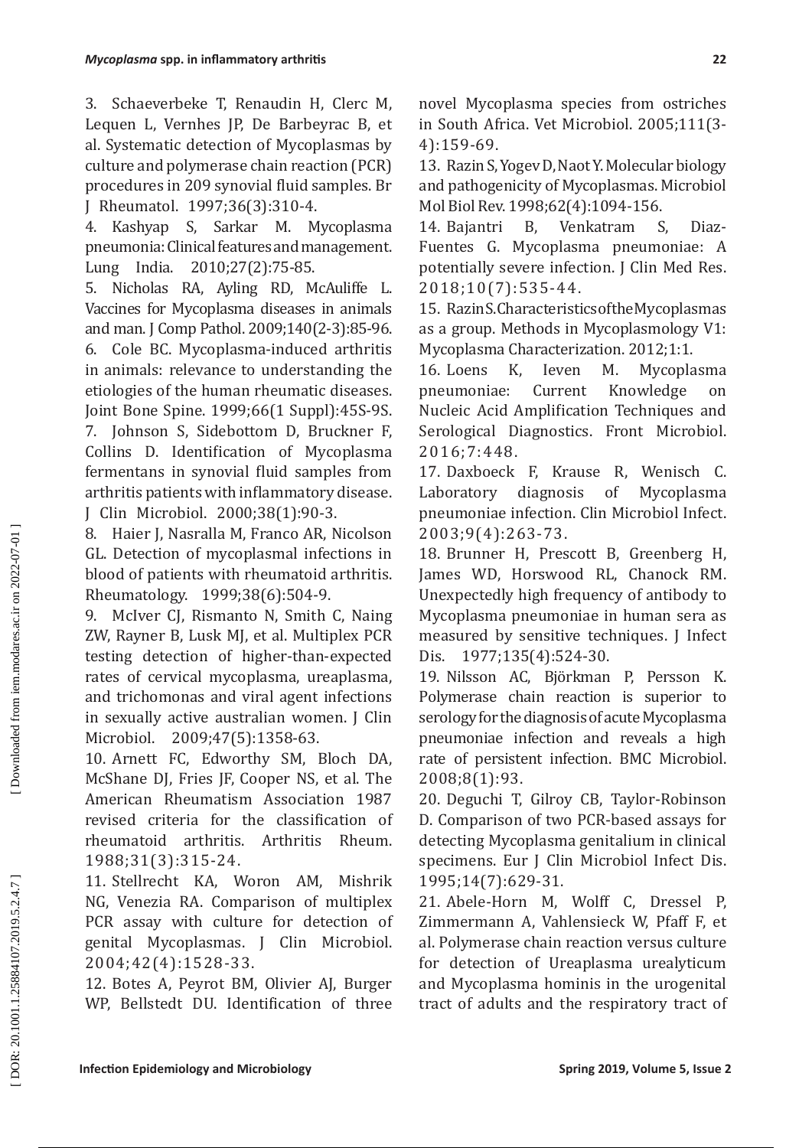3. Schaeverbeke T, Renaudin H, Clerc M, Lequen L, Vernhes JP, De Barbeyrac B, et al. Systematic detection of Mycoplasmas by culture and polymerase chain reaction (PCR) procedures in 209 synovial fluid samples. Br J Rheumatol. 1997;36(3):310-4.

4. Kashyap S, Sarkar M. Mycoplasma pneumonia: Clinical features and management. Lung India. 2010;27(2):75-85.

5. Nicholas RA, Ayling RD, McAuliffe L. Vaccines for Mycoplasma diseases in animals and man. J Comp Pathol. 2009;140(2-3):85-96. 6. Cole BC. Mycoplasma-induced arthritis in animals: relevance to understanding the etiologies of the human rheumatic diseases. Joint Bone Spine. 1999;66(1 Suppl):45S-9S. 7. Johnson S, Sidebottom D, Bruckner F, Collins D. Identification of Mycoplasma fermentans in synovial fluid samples from arthritis patients with inflammatory disease. J Clin Microbiol. 2000;38(1):90-3.

8. Haier J, Nasralla M, Franco AR, Nicolson GL. Detection of mycoplasmal infections in blood of patients with rheumatoid arthritis. Rheumatology. 1999;38(6):504-9.

9. McIver CJ, Rismanto N, Smith C, Naing ZW, Rayner B, Lusk MJ, et al. Multiplex PCR testing detection of higher-than-expected rates of cervical mycoplasma, ureaplasma, and trichomonas and viral agent infections in sexually active australian women. J Clin Microbiol. 2009;47(5):1358-63.

10. Arnett FC, Edworthy SM, Bloch DA, McShane DJ, Fries JF, Cooper NS, et al. The American Rheumatism Association 1987 revised criteria for the classification of rheumatoid arthritis. Arthritis Rheum. 1988;31(3):315-24.

11. Stellrecht KA, Woron AM, Mishrik NG, Venezia RA. Comparison of multiplex PCR assay with culture for detection of genital Mycoplasmas. J Clin Microbiol. 2004;42(4):1528-33.

12. Botes A, Peyrot BM, Olivier AJ, Burger WP, Bellstedt DU. Identification of three novel Mycoplasma species from ostriches in South Africa. Vet Microbiol. 2005;111(3- 4):159-69.

13. Razin S, Yogev D, Naot Y. Molecular biology and pathogenicity of Mycoplasmas. Microbiol Mol Biol Rev. 1998;62(4):1094-156.

14. Bajantri B, Venkatram S, Diaz-Fuentes G. Mycoplasma pneumoniae: A potentially severe infection. J Clin Med Res. 2018;10(7):535-44.

15. Razin S. Characteristics of the Mycoplasmas as a group. Methods in Mycoplasmology V1: Mycoplasma Characterization. 2012;1:1.<br>16. Loens K. Ieven M. Mycopla

16. Loens K, Ieven M. Mycoplasma pneumoniae: Current Knowledge on Nucleic Acid Amplification Techniques and Serological Diagnostics. Front Microbiol. 2016;7:448.

17. Daxboeck F, Krause R, Wenisch C. Laboratory diagnosis of Mycoplasma pneumoniae infection. Clin Microbiol Infect. 2003;9(4):263-73.

18. Brunner H, Prescott B, Greenberg H, James WD, Horswood RL, Chanock RM. Unexpectedly high frequency of antibody to Mycoplasma pneumoniae in human sera as measured by sensitive techniques. J Infect Dis. 1977;135(4):524-30.

19. Nilsson AC, Björkman P, Persson K. Polymerase chain reaction is superior to serology for the diagnosis of acute Mycoplasma pneumoniae infection and reveals a high rate of persistent infection. BMC Microbiol. 2008;8(1):93.

20. Deguchi T, Gilroy CB, Taylor-Robinson D. Comparison of two PCR-based assays for detecting Mycoplasma genitalium in clinical specimens. Eur J Clin Microbiol Infect Dis. 1995;14(7):629-31.

21. Abele-Horn M, Wolff C, Dressel P, Zimmermann A, Vahlensieck W, Pfaff F, et al. Polymerase chain reaction versus culture for detection of Ureaplasma urealyticum and Mycoplasma hominis in the urogenital tract of adults and the respiratory tract of

DOR: 20.1001.1.25884107.2019.5.2.4.7